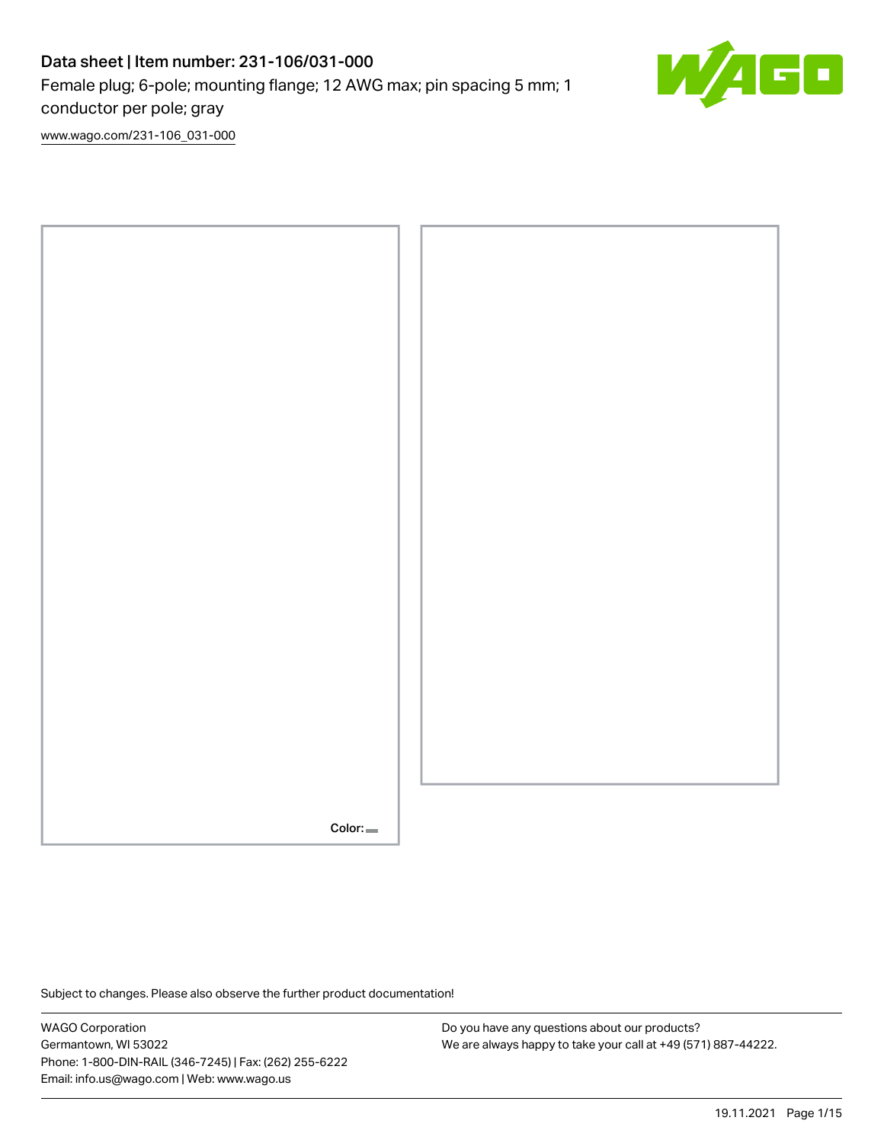# Data sheet | Item number: 231-106/031-000 Female plug; 6-pole; mounting flange; 12 AWG max; pin spacing 5 mm; 1 conductor per pole; gray



[www.wago.com/231-106\\_031-000](http://www.wago.com/231-106_031-000)



Subject to changes. Please also observe the further product documentation!

WAGO Corporation Germantown, WI 53022 Phone: 1-800-DIN-RAIL (346-7245) | Fax: (262) 255-6222 Email: info.us@wago.com | Web: www.wago.us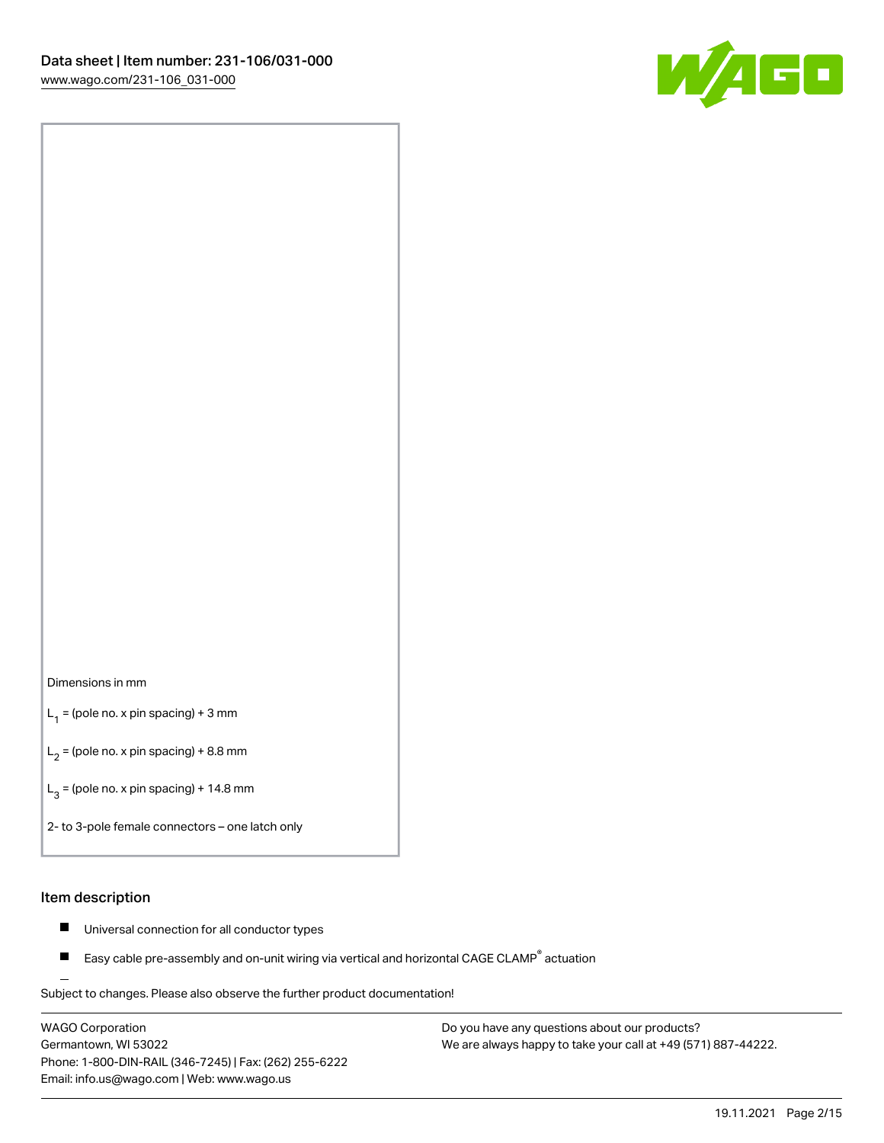

#### Dimensions in mm

 $L_1$  = (pole no. x pin spacing) + 3 mm

 $L_2$  = (pole no. x pin spacing) + 8.8 mm

 $L_3$  = (pole no. x pin spacing) + 14.8 mm

2- to 3-pole female connectors – one latch only

#### Item description

- Universal connection for all conductor types  $\blacksquare$
- Easy cable pre-assembly and on-unit wiring via vertical and horizontal CAGE CLAMP<sup>®</sup> actuation П

.<br>Subject to changes. Please also observe the further product documentation!

WAGO Corporation Germantown, WI 53022 Phone: 1-800-DIN-RAIL (346-7245) | Fax: (262) 255-6222 Email: info.us@wago.com | Web: www.wago.us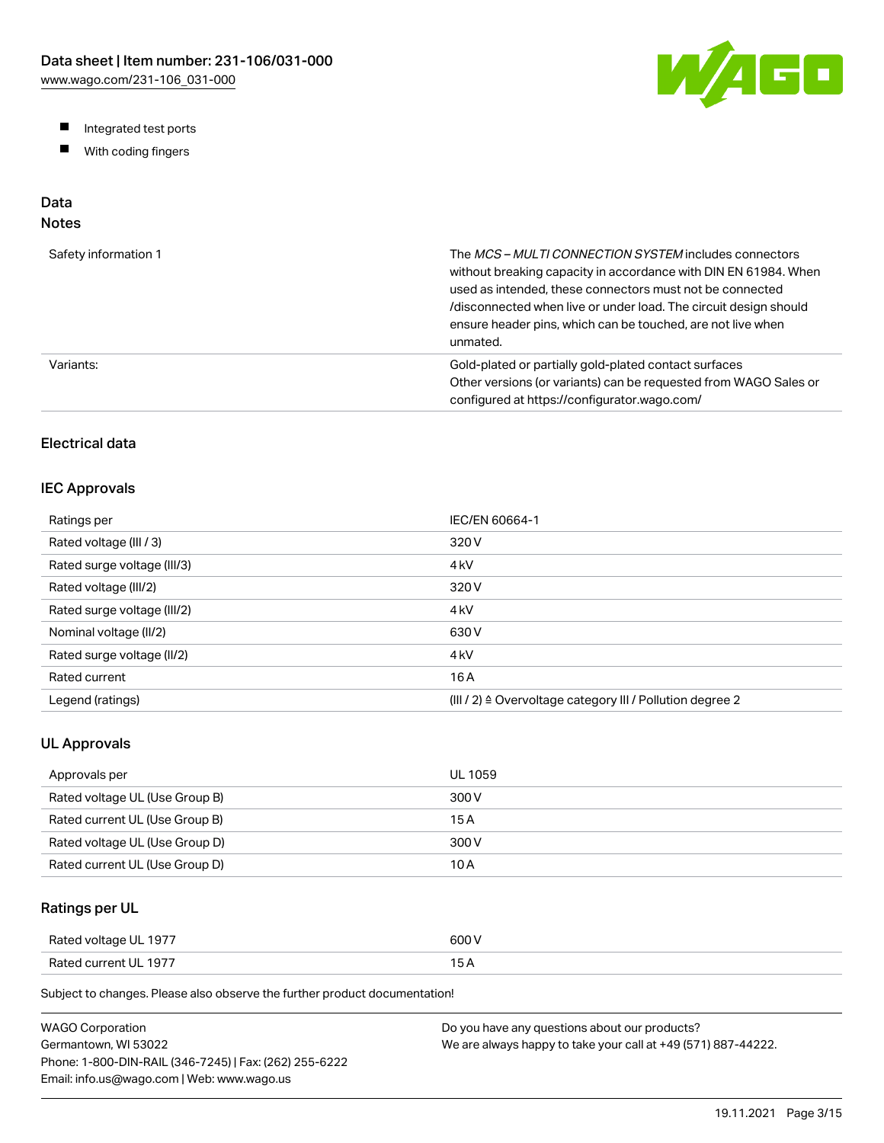W/AGO

- Integrated test ports
- $\blacksquare$ With coding fingers

# Data

## Notes

| Safety information 1 | The MCS-MULTI CONNECTION SYSTEM includes connectors<br>without breaking capacity in accordance with DIN EN 61984. When<br>used as intended, these connectors must not be connected<br>/disconnected when live or under load. The circuit design should<br>ensure header pins, which can be touched, are not live when<br>unmated. |
|----------------------|-----------------------------------------------------------------------------------------------------------------------------------------------------------------------------------------------------------------------------------------------------------------------------------------------------------------------------------|
| Variants:            | Gold-plated or partially gold-plated contact surfaces<br>Other versions (or variants) can be requested from WAGO Sales or<br>configured at https://configurator.wago.com/                                                                                                                                                         |

## Electrical data

### IEC Approvals

| Ratings per                 | IEC/EN 60664-1                                                        |
|-----------------------------|-----------------------------------------------------------------------|
| Rated voltage (III / 3)     | 320 V                                                                 |
| Rated surge voltage (III/3) | 4 <sub>kV</sub>                                                       |
| Rated voltage (III/2)       | 320 V                                                                 |
| Rated surge voltage (III/2) | 4 <sub>kV</sub>                                                       |
| Nominal voltage (II/2)      | 630 V                                                                 |
| Rated surge voltage (II/2)  | 4 <sub>kV</sub>                                                       |
| Rated current               | 16 A                                                                  |
| Legend (ratings)            | $(III / 2)$ $\triangle$ Overvoltage category III / Pollution degree 2 |

### UL Approvals

| Approvals per                  | <b>UL 1059</b> |
|--------------------------------|----------------|
| Rated voltage UL (Use Group B) | 300 V          |
| Rated current UL (Use Group B) | 15 A           |
| Rated voltage UL (Use Group D) | 300 V          |
| Rated current UL (Use Group D) | 10 A           |

## Ratings per UL

| Rated voltage UL 1977 | 600 V  |
|-----------------------|--------|
| Rated current UL 1977 | $\sim$ |

Subject to changes. Please also observe the further product documentation!

| WAGO Corporation                                       | Do you have any questions about our products?                 |
|--------------------------------------------------------|---------------------------------------------------------------|
| Germantown. WI 53022                                   | We are always happy to take your call at +49 (571) 887-44222. |
| Phone: 1-800-DIN-RAIL (346-7245)   Fax: (262) 255-6222 |                                                               |
| Email: info.us@wago.com   Web: www.wago.us             |                                                               |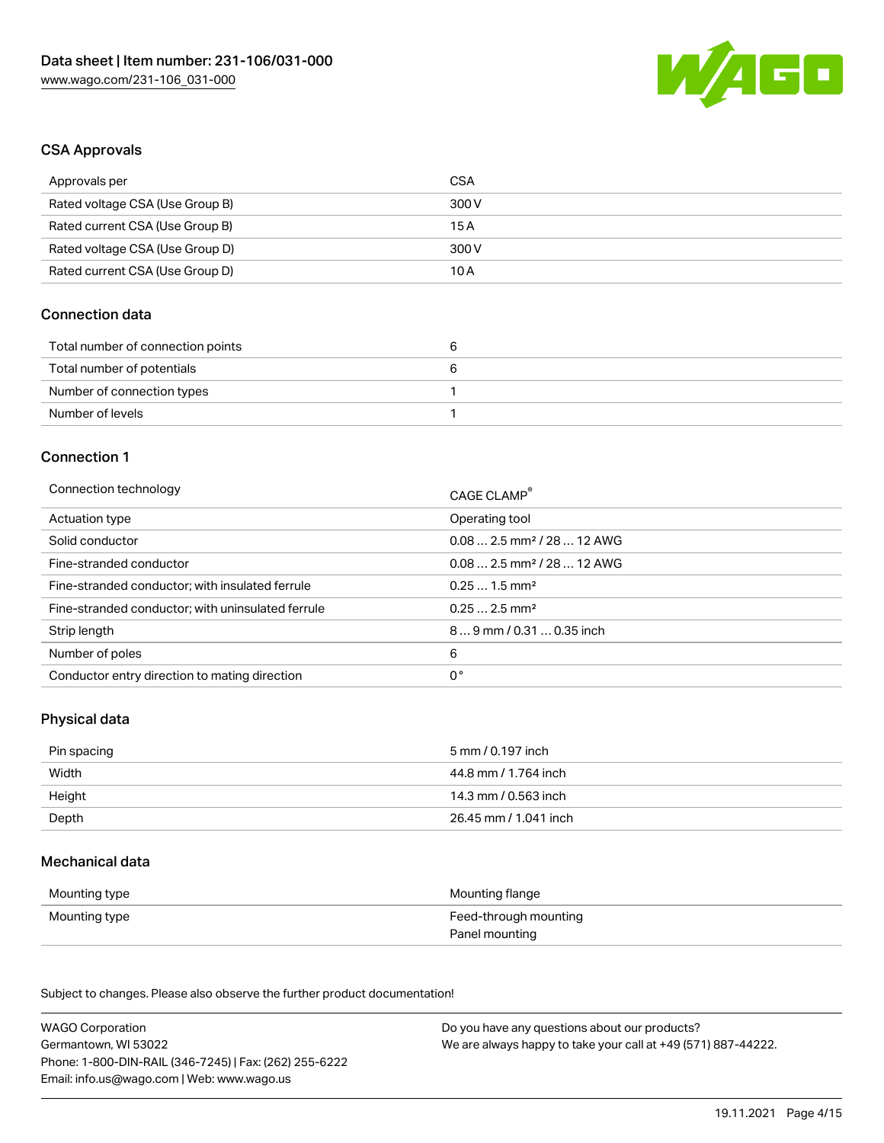

#### CSA Approvals

| Approvals per                   | CSA   |
|---------------------------------|-------|
| Rated voltage CSA (Use Group B) | 300 V |
| Rated current CSA (Use Group B) | 15 A  |
| Rated voltage CSA (Use Group D) | 300 V |
| Rated current CSA (Use Group D) | 10 A  |

## Connection data

| Total number of connection points |  |
|-----------------------------------|--|
| Total number of potentials        |  |
| Number of connection types        |  |
| Number of levels                  |  |

#### Connection 1

| Connection technology                             | CAGE CLAMP <sup>®</sup>                |
|---------------------------------------------------|----------------------------------------|
| Actuation type                                    | Operating tool                         |
| Solid conductor                                   | $0.082.5$ mm <sup>2</sup> / 28  12 AWG |
| Fine-stranded conductor                           | $0.082.5$ mm <sup>2</sup> / 28  12 AWG |
| Fine-stranded conductor; with insulated ferrule   | $0.251.5$ mm <sup>2</sup>              |
| Fine-stranded conductor; with uninsulated ferrule | $0.252.5$ mm <sup>2</sup>              |
| Strip length                                      | 89 mm / 0.31  0.35 inch                |
| Number of poles                                   | 6                                      |
| Conductor entry direction to mating direction     | 0°                                     |

### Physical data

| Pin spacing | 5 mm / 0.197 inch     |
|-------------|-----------------------|
| Width       | 44.8 mm / 1.764 inch  |
| Height      | 14.3 mm / 0.563 inch  |
| Depth       | 26.45 mm / 1.041 inch |

#### Mechanical data

| Mounting type | Mounting flange       |
|---------------|-----------------------|
| Mounting type | Feed-through mounting |
|               | Panel mounting        |

Subject to changes. Please also observe the further product documentation!

| <b>WAGO Corporation</b>                                | Do you have any questions about our products?                 |
|--------------------------------------------------------|---------------------------------------------------------------|
| Germantown, WI 53022                                   | We are always happy to take your call at +49 (571) 887-44222. |
| Phone: 1-800-DIN-RAIL (346-7245)   Fax: (262) 255-6222 |                                                               |
| Email: info.us@wago.com   Web: www.wago.us             |                                                               |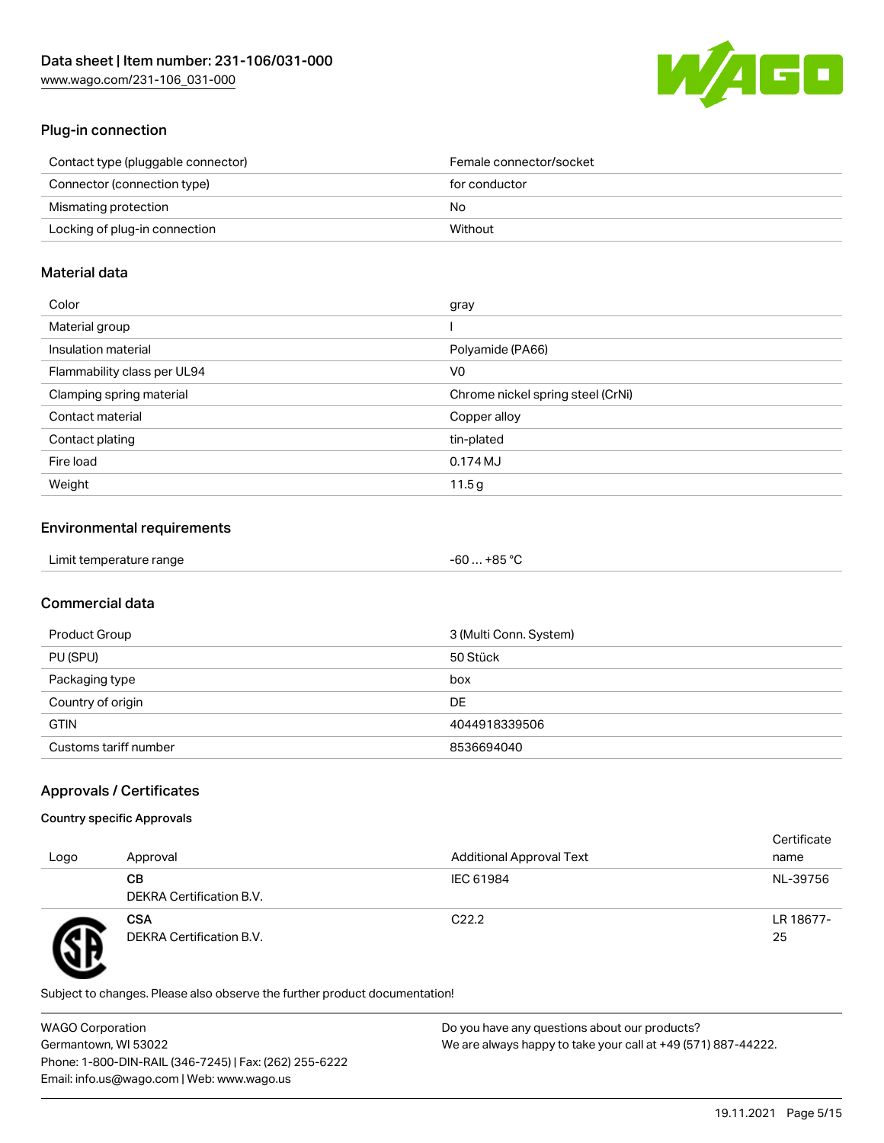

## Plug-in connection

| Contact type (pluggable connector) | Female connector/socket |
|------------------------------------|-------------------------|
| Connector (connection type)        | for conductor           |
| Mismating protection               | No.                     |
| Locking of plug-in connection      | Without                 |
|                                    |                         |

#### Material data

| Color                       | gray                              |
|-----------------------------|-----------------------------------|
| Material group              |                                   |
| Insulation material         | Polyamide (PA66)                  |
| Flammability class per UL94 | V0                                |
| Clamping spring material    | Chrome nickel spring steel (CrNi) |
| Contact material            | Copper alloy                      |
| Contact plating             | tin-plated                        |
| Fire load                   | $0.174M$ J                        |
| Weight                      | 11.5g                             |

## Environmental requirements

| Limit temperature range | -60  +85 °C |  |
|-------------------------|-------------|--|
|-------------------------|-------------|--|

## Commercial data

| Product Group         | 3 (Multi Conn. System) |
|-----------------------|------------------------|
| PU (SPU)              | 50 Stück               |
| Packaging type        | box                    |
| Country of origin     | DE                     |
| <b>GTIN</b>           | 4044918339506          |
| Customs tariff number | 8536694040             |

## Approvals / Certificates

#### Country specific Approvals

| Logo | Approval                               | <b>Additional Approval Text</b> | Certificate<br>name |
|------|----------------------------------------|---------------------------------|---------------------|
|      | CВ<br>DEKRA Certification B.V.         | IEC 61984                       | NL-39756            |
|      | <b>CSA</b><br>DEKRA Certification B.V. | C <sub>22.2</sub>               | LR 18677-<br>25     |

Subject to changes. Please also observe the further product documentation!

WAGO Corporation Germantown, WI 53022 Phone: 1-800-DIN-RAIL (346-7245) | Fax: (262) 255-6222 Email: info.us@wago.com | Web: www.wago.us Do you have any questions about our products? We are always happy to take your call at +49 (571) 887-44222.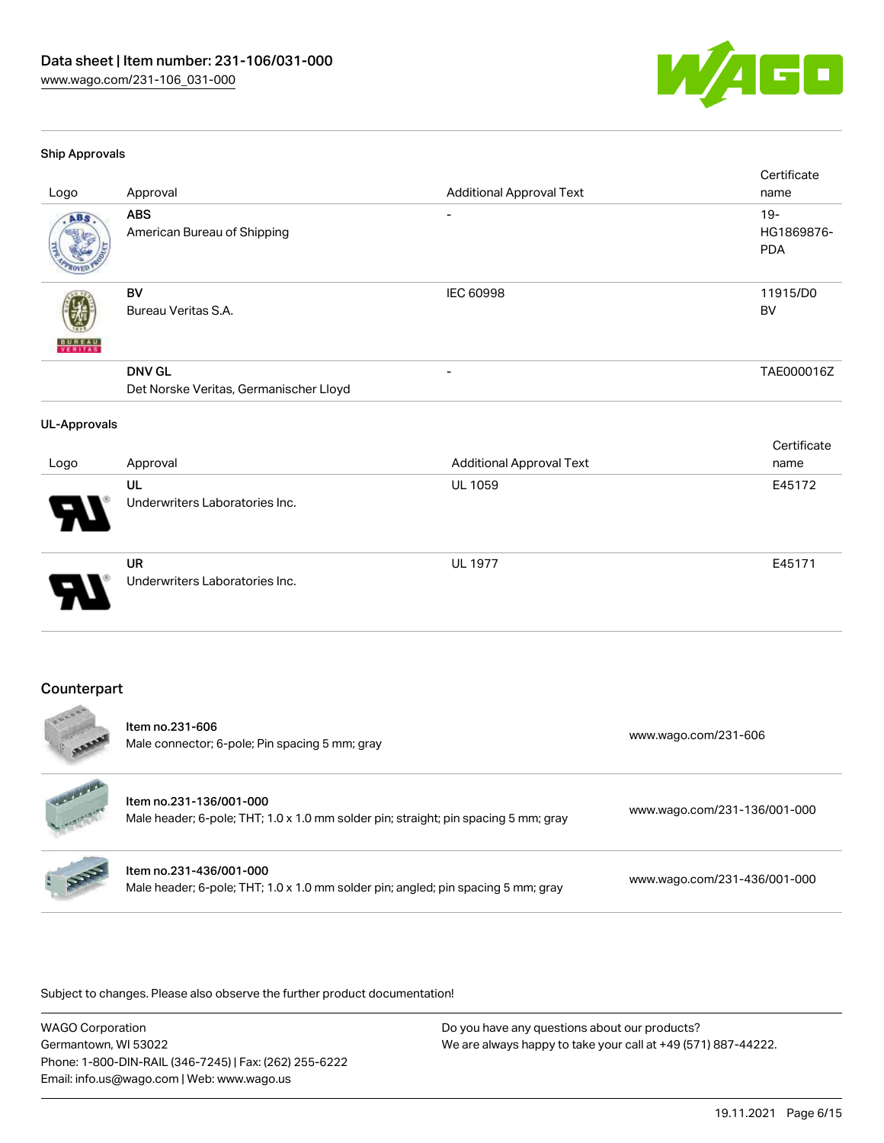

#### Ship Approvals

| Logo                | Approval                                                | <b>Additional Approval Text</b> | Certificate<br>name                |
|---------------------|---------------------------------------------------------|---------------------------------|------------------------------------|
| ABS                 | <b>ABS</b><br>American Bureau of Shipping               | $\overline{\phantom{0}}$        | $19 -$<br>HG1869876-<br><b>PDA</b> |
| VERITAS             | <b>BV</b><br>Bureau Veritas S.A.                        | <b>IEC 60998</b>                | 11915/D0<br><b>BV</b>              |
|                     | <b>DNV GL</b><br>Det Norske Veritas, Germanischer Lloyd | $\overline{\phantom{0}}$        | TAE000016Z                         |
| <b>UL-Approvals</b> |                                                         |                                 |                                    |
| Logo                | Approval                                                | <b>Additional Approval Text</b> | Certificate<br>name                |
|                     | UL<br>Underwriters Laboratories Inc.                    | <b>UL 1059</b>                  | E45172                             |
|                     | <b>UR</b><br>Underwriters Laboratories Inc.             | <b>UL 1977</b>                  | E45171                             |
|                     |                                                         |                                 |                                    |

#### Counterpart

| 45004          | Item no.231-606<br>Male connector; 6-pole; Pin spacing 5 mm; gray                                              | www.wago.com/231-606         |
|----------------|----------------------------------------------------------------------------------------------------------------|------------------------------|
| darketering on | Item no.231-136/001-000<br>Male header; 6-pole; THT; 1.0 x 1.0 mm solder pin; straight; pin spacing 5 mm; gray | www.wago.com/231-136/001-000 |
| Reg            | Item no.231-436/001-000<br>Male header; 6-pole; THT; 1.0 x 1.0 mm solder pin; angled; pin spacing 5 mm; gray   | www.wago.com/231-436/001-000 |

Subject to changes. Please also observe the further product documentation!

WAGO Corporation Germantown, WI 53022 Phone: 1-800-DIN-RAIL (346-7245) | Fax: (262) 255-6222 Email: info.us@wago.com | Web: www.wago.us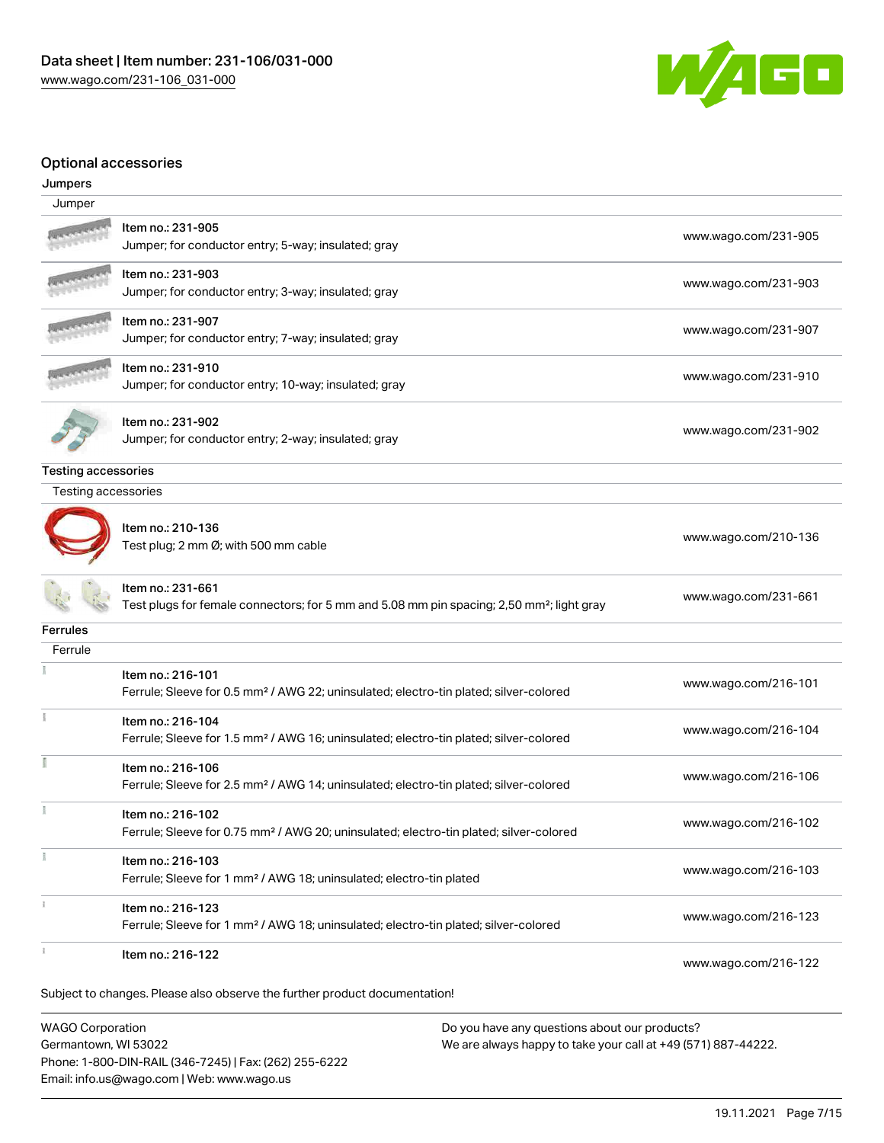

#### Optional accessories

| Jumpers                    |                                                                                                                            |                      |
|----------------------------|----------------------------------------------------------------------------------------------------------------------------|----------------------|
| Jumper                     |                                                                                                                            |                      |
|                            | Item no.: 231-905<br>Jumper; for conductor entry; 5-way; insulated; gray                                                   | www.wago.com/231-905 |
|                            | Item no.: 231-903<br>Jumper; for conductor entry; 3-way; insulated; gray                                                   | www.wago.com/231-903 |
|                            | Item no.: 231-907<br>Jumper; for conductor entry; 7-way; insulated; gray                                                   | www.wago.com/231-907 |
|                            | Item no.: 231-910<br>Jumper; for conductor entry; 10-way; insulated; gray                                                  | www.wago.com/231-910 |
|                            | Item no.: 231-902<br>Jumper; for conductor entry; 2-way; insulated; gray                                                   | www.wago.com/231-902 |
| <b>Testing accessories</b> |                                                                                                                            |                      |
| Testing accessories        |                                                                                                                            |                      |
|                            | Item no.: 210-136<br>Test plug; 2 mm Ø; with 500 mm cable                                                                  | www.wago.com/210-136 |
|                            | ltem no.: 231-661<br>Test plugs for female connectors; for 5 mm and 5.08 mm pin spacing; 2,50 mm <sup>2</sup> ; light gray | www.wago.com/231-661 |
| <b>Ferrules</b>            |                                                                                                                            |                      |
| Ferrule                    |                                                                                                                            |                      |
|                            | Item no.: 216-101<br>Ferrule; Sleeve for 0.5 mm <sup>2</sup> / AWG 22; uninsulated; electro-tin plated; silver-colored     | www.wago.com/216-101 |
|                            | Item no.: 216-104<br>Ferrule; Sleeve for 1.5 mm <sup>2</sup> / AWG 16; uninsulated; electro-tin plated; silver-colored     | www.wago.com/216-104 |
|                            | Item no.: 216-106<br>Ferrule; Sleeve for 2.5 mm <sup>2</sup> / AWG 14; uninsulated; electro-tin plated; silver-colored     | www.wago.com/216-106 |
|                            | Item no.: 216-102<br>Ferrule; Sleeve for 0.75 mm <sup>2</sup> / AWG 20; uninsulated; electro-tin plated; silver-colored    | www.wago.com/216-102 |
|                            | Item no.: 216-103<br>Ferrule; Sleeve for 1 mm <sup>2</sup> / AWG 18; uninsulated; electro-tin plated                       | www.wago.com/216-103 |
|                            | Item no.: 216-123<br>Ferrule; Sleeve for 1 mm <sup>2</sup> / AWG 18; uninsulated; electro-tin plated; silver-colored       | www.wago.com/216-123 |
|                            | Item no.: 216-122                                                                                                          | www.wago.com/216-122 |
|                            | Subject to changes. Please also observe the further product documentation!                                                 |                      |

WAGO Corporation Germantown, WI 53022 Phone: 1-800-DIN-RAIL (346-7245) | Fax: (262) 255-6222 Email: info.us@wago.com | Web: www.wago.us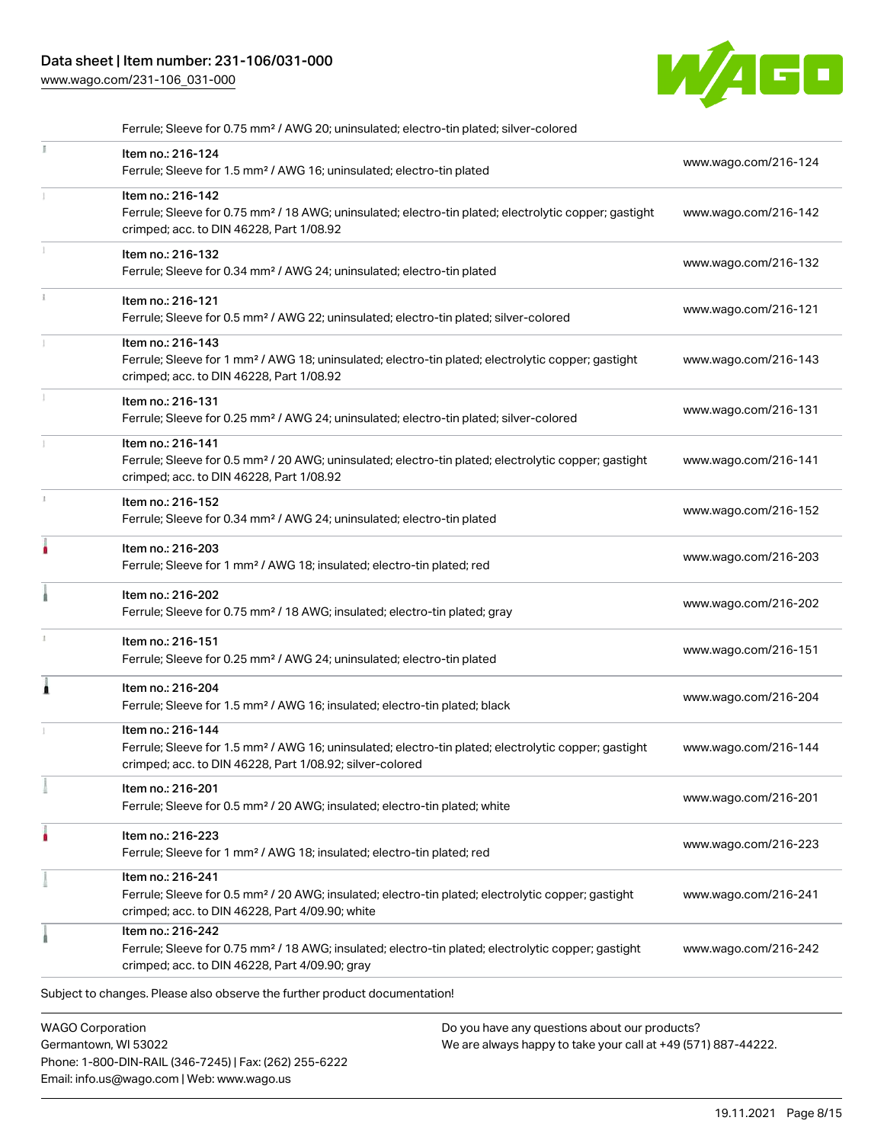#### Data sheet | Item number: 231-106/031-000

[www.wago.com/231-106\\_031-000](http://www.wago.com/231-106_031-000)

Germantown, WI 53022

Phone: 1-800-DIN-RAIL (346-7245) | Fax: (262) 255-6222

Email: info.us@wago.com | Web: www.wago.us



Ferrule; Sleeve for 0.75 mm² / AWG 20; uninsulated; electro-tin plated; silver-colored Ĭ. Item no.: 216-124 Ferrule; Sleeve for 1.5 mm² / AWG 16; uninsulated; electro-tin plated [www.wago.com/216-124](http://www.wago.com/216-124) Item no.: 216-142 Ferrule; Sleeve for 0.75 mm² / 18 AWG; uninsulated; electro-tin plated; electrolytic copper; gastight [www.wago.com/216-142](http://www.wago.com/216-142) crimped; acc. to DIN 46228, Part 1/08.92 Item no.: 216-132 Ferrule; Sleeve for 0.34 mm² / AWG 24; uninsulated; electro-tin plated [www.wago.com/216-132](http://www.wago.com/216-132) Item no.: 216-121 Ferrule; Sleeve for 0.5 mm² / AWG 22; uninsulated; electro-tin plated; silver-colored [www.wago.com/216-121](http://www.wago.com/216-121) Item no.: 216-143 Ferrule; Sleeve for 1 mm² / AWG 18; uninsulated; electro-tin plated; electrolytic copper; gastight [www.wago.com/216-143](http://www.wago.com/216-143) crimped; acc. to DIN 46228, Part 1/08.92 Item no.: 216-131 Ferrule; Sleeve for 0.25 mm² / AWG 24; uninsulated; electro-tin plated; silver-colored [www.wago.com/216-131](http://www.wago.com/216-131) Item no.: 216-141 Ferrule; Sleeve for 0.5 mm² / 20 AWG; uninsulated; electro-tin plated; electrolytic copper; gastight [www.wago.com/216-141](http://www.wago.com/216-141) crimped; acc. to DIN 46228, Part 1/08.92  $\bar{\mathbf{z}}$ Item no.: 216-152 Ferrule; Sleeve for 0.34 mm² / AWG 24; uninsulated; electro-tin plated [www.wago.com/216-152](http://www.wago.com/216-152) Item no.: 216-203 Ferrule; Sleeve for 1 mm² / AWG 18; insulated; electro-tin plated; red [www.wago.com/216-203](http://www.wago.com/216-203) Item no.: 216-202 Ferrule; Sleeve for 0.75 mm² / 18 AWG; insulated; electro-tin plated; gray [www.wago.com/216-202](http://www.wago.com/216-202) Item no.: 216-151 Ferrule; Sleeve for 0.25 mm² / AWG 24; uninsulated; electro-tin plated [www.wago.com/216-151](http://www.wago.com/216-151) Item no.: 216-204 Ferrule; Sleeve for 1.5 mm² / AWG 16; insulated; electro-tin plated; black [www.wago.com/216-204](http://www.wago.com/216-204) Item no.: 216-144 Ferrule; Sleeve for 1.5 mm² / AWG 16; uninsulated; electro-tin plated; electrolytic copper; gastight [www.wago.com/216-144](http://www.wago.com/216-144) crimped; acc. to DIN 46228, Part 1/08.92; silver-colored Item no.: 216-201 Ferrule; Sleeve for 0.5 mm² / 20 AWG; insulated; electro-tin plated; white [www.wago.com/216-201](http://www.wago.com/216-201) Item no.: 216-223 Ferrule; Sleeve for 1 mm² / AWG 18; insulated; electro-tin plated; red [www.wago.com/216-223](http://www.wago.com/216-223) Item no.: 216-241 Ferrule; Sleeve for 0.5 mm² / 20 AWG; insulated; electro-tin plated; electrolytic copper; gastight [www.wago.com/216-241](http://www.wago.com/216-241) crimped; acc. to DIN 46228, Part 4/09.90; white Item no.: 216-242 Ferrule; Sleeve for 0.75 mm² / 18 AWG; insulated; electro-tin plated; electrolytic copper; gastight [www.wago.com/216-242](http://www.wago.com/216-242)crimped; acc. to DIN 46228, Part 4/09.90; gray Subject to changes. Please also observe the further product documentation! WAGO Corporation Do you have any questions about our products?

19.11.2021 Page 8/15

We are always happy to take your call at +49 (571) 887-44222.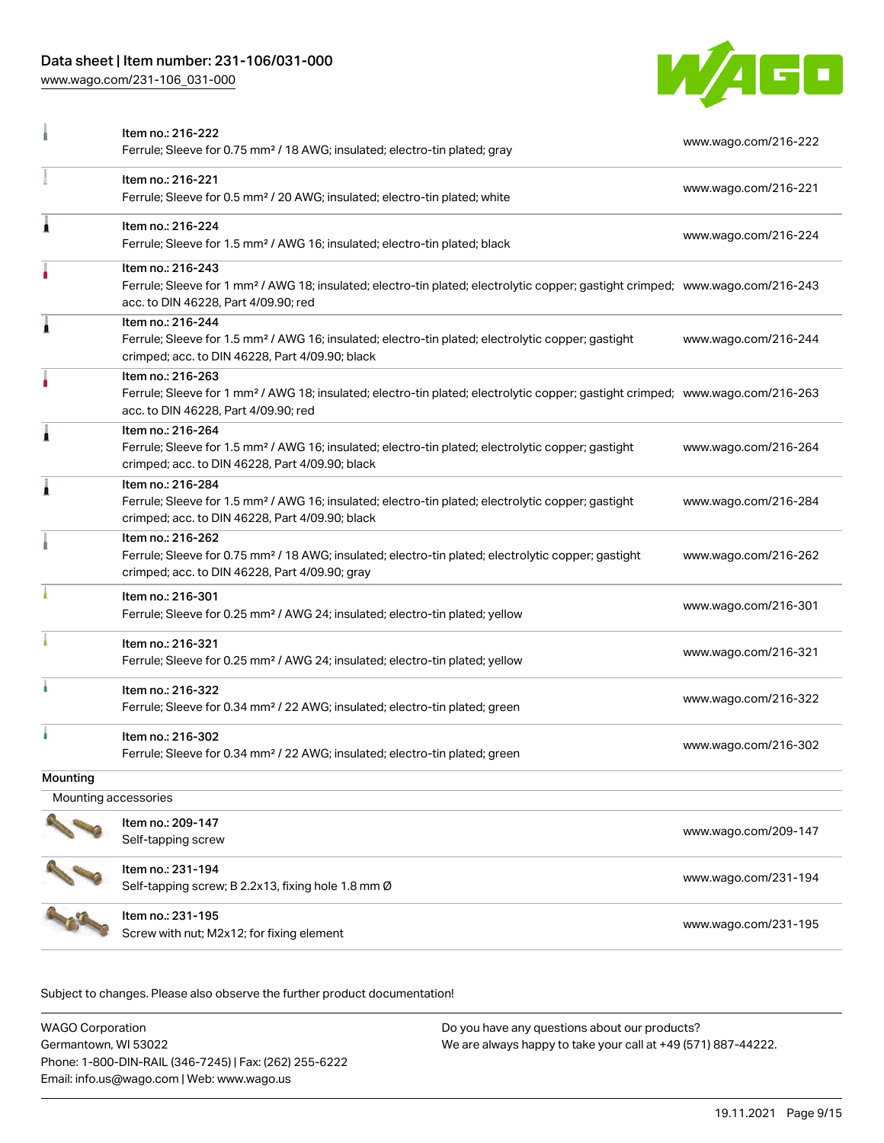## Data sheet | Item number: 231-106/031-000

[www.wago.com/231-106\\_031-000](http://www.wago.com/231-106_031-000)



|                      | Item no.: 216-222<br>Ferrule; Sleeve for 0.75 mm <sup>2</sup> / 18 AWG; insulated; electro-tin plated; gray                                                                                             | www.wago.com/216-222 |
|----------------------|---------------------------------------------------------------------------------------------------------------------------------------------------------------------------------------------------------|----------------------|
|                      | Item no.: 216-221<br>Ferrule; Sleeve for 0.5 mm <sup>2</sup> / 20 AWG; insulated; electro-tin plated; white                                                                                             | www.wago.com/216-221 |
| Å                    | Item no.: 216-224<br>Ferrule; Sleeve for 1.5 mm <sup>2</sup> / AWG 16; insulated; electro-tin plated; black                                                                                             | www.wago.com/216-224 |
|                      | Item no.: 216-243<br>Ferrule; Sleeve for 1 mm <sup>2</sup> / AWG 18; insulated; electro-tin plated; electrolytic copper; gastight crimped; www.wago.com/216-243<br>acc. to DIN 46228, Part 4/09.90; red |                      |
| À                    | Item no.: 216-244<br>Ferrule; Sleeve for 1.5 mm <sup>2</sup> / AWG 16; insulated; electro-tin plated; electrolytic copper; gastight<br>crimped; acc. to DIN 46228, Part 4/09.90; black                  | www.wago.com/216-244 |
| I                    | Item no.: 216-263<br>Ferrule; Sleeve for 1 mm <sup>2</sup> / AWG 18; insulated; electro-tin plated; electrolytic copper; gastight crimped; www.wago.com/216-263<br>acc. to DIN 46228, Part 4/09.90; red |                      |
| Å                    | Item no.: 216-264<br>Ferrule; Sleeve for 1.5 mm <sup>2</sup> / AWG 16; insulated; electro-tin plated; electrolytic copper; gastight<br>crimped; acc. to DIN 46228, Part 4/09.90; black                  | www.wago.com/216-264 |
| Â                    | Item no.: 216-284<br>Ferrule; Sleeve for 1.5 mm <sup>2</sup> / AWG 16; insulated; electro-tin plated; electrolytic copper; gastight<br>crimped; acc. to DIN 46228, Part 4/09.90; black                  | www.wago.com/216-284 |
|                      | Item no.: 216-262<br>Ferrule; Sleeve for 0.75 mm <sup>2</sup> / 18 AWG; insulated; electro-tin plated; electrolytic copper; gastight<br>crimped; acc. to DIN 46228, Part 4/09.90; gray                  | www.wago.com/216-262 |
|                      | Item no.: 216-301<br>Ferrule; Sleeve for 0.25 mm <sup>2</sup> / AWG 24; insulated; electro-tin plated; yellow                                                                                           | www.wago.com/216-301 |
|                      | Item no.: 216-321<br>Ferrule; Sleeve for 0.25 mm <sup>2</sup> / AWG 24; insulated; electro-tin plated; yellow                                                                                           | www.wago.com/216-321 |
| ì                    | Item no.: 216-322<br>Ferrule; Sleeve for 0.34 mm <sup>2</sup> / 22 AWG; insulated; electro-tin plated; green                                                                                            | www.wago.com/216-322 |
| ۸                    | Item no.: 216-302<br>Ferrule; Sleeve for 0.34 mm <sup>2</sup> / 22 AWG; insulated; electro-tin plated; green                                                                                            | www.wago.com/216-302 |
| Mounting             |                                                                                                                                                                                                         |                      |
| Mounting accessories |                                                                                                                                                                                                         |                      |
|                      | Item no.: 209-147<br>Self-tapping screw                                                                                                                                                                 | www.wago.com/209-147 |
|                      | Item no.: 231-194<br>Self-tapping screw; B 2.2x13, fixing hole 1.8 mm Ø                                                                                                                                 | www.wago.com/231-194 |
|                      | Item no.: 231-195<br>Screw with nut; M2x12; for fixing element                                                                                                                                          | www.wago.com/231-195 |

Subject to changes. Please also observe the further product documentation!

| <b>WAGO Corporation</b>                                | Do you have any questions about our products?                 |
|--------------------------------------------------------|---------------------------------------------------------------|
| Germantown. WI 53022                                   | We are always happy to take your call at +49 (571) 887-44222. |
| Phone: 1-800-DIN-RAIL (346-7245)   Fax: (262) 255-6222 |                                                               |
| Email: info.us@wago.com   Web: www.wago.us             |                                                               |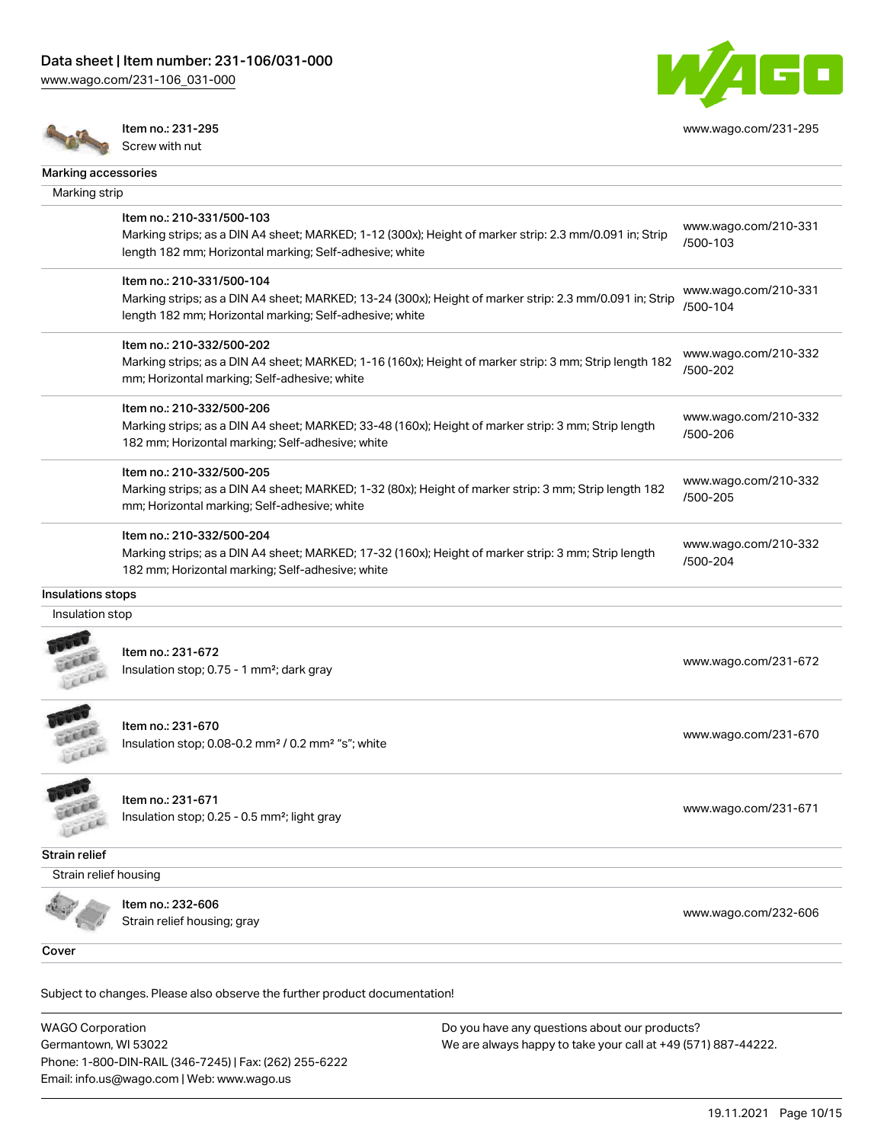[www.wago.com/231-106\\_031-000](http://www.wago.com/231-106_031-000)



[www.wago.com/231-295](http://www.wago.com/231-295)

Item no.: 231-295 Screw with nut

| Marking accessories   |                                                                                                                                                                                                 |                                  |
|-----------------------|-------------------------------------------------------------------------------------------------------------------------------------------------------------------------------------------------|----------------------------------|
| Marking strip         |                                                                                                                                                                                                 |                                  |
|                       | Item no.: 210-331/500-103<br>Marking strips; as a DIN A4 sheet; MARKED; 1-12 (300x); Height of marker strip: 2.3 mm/0.091 in; Strip<br>length 182 mm; Horizontal marking; Self-adhesive; white  | www.wago.com/210-331<br>/500-103 |
|                       | Item no.: 210-331/500-104<br>Marking strips; as a DIN A4 sheet; MARKED; 13-24 (300x); Height of marker strip: 2.3 mm/0.091 in; Strip<br>length 182 mm; Horizontal marking; Self-adhesive; white | www.wago.com/210-331<br>/500-104 |
|                       | Item no.: 210-332/500-202<br>Marking strips; as a DIN A4 sheet; MARKED; 1-16 (160x); Height of marker strip: 3 mm; Strip length 182<br>mm; Horizontal marking; Self-adhesive; white             | www.wago.com/210-332<br>/500-202 |
|                       | Item no.: 210-332/500-206<br>Marking strips; as a DIN A4 sheet; MARKED; 33-48 (160x); Height of marker strip: 3 mm; Strip length<br>182 mm; Horizontal marking; Self-adhesive; white            | www.wago.com/210-332<br>/500-206 |
|                       | Item no.: 210-332/500-205<br>Marking strips; as a DIN A4 sheet; MARKED; 1-32 (80x); Height of marker strip: 3 mm; Strip length 182<br>mm; Horizontal marking; Self-adhesive; white              | www.wago.com/210-332<br>/500-205 |
|                       | Item no.: 210-332/500-204<br>Marking strips; as a DIN A4 sheet; MARKED; 17-32 (160x); Height of marker strip: 3 mm; Strip length<br>182 mm; Horizontal marking; Self-adhesive; white            | www.wago.com/210-332<br>/500-204 |
| Insulations stops     |                                                                                                                                                                                                 |                                  |
| Insulation stop       |                                                                                                                                                                                                 |                                  |
| Lecce                 | Item no.: 231-672<br>Insulation stop; 0.75 - 1 mm <sup>2</sup> ; dark gray                                                                                                                      | www.wago.com/231-672             |
| Leee                  | Item no.: 231-670<br>Insulation stop; 0.08-0.2 mm <sup>2</sup> / 0.2 mm <sup>2</sup> "s"; white                                                                                                 | www.wago.com/231-670             |
| LEEEE                 | Item no.: 231-671<br>Insulation stop; 0.25 - 0.5 mm <sup>2</sup> ; light gray                                                                                                                   | www.wago.com/231-671             |
| <b>Strain relief</b>  |                                                                                                                                                                                                 |                                  |
| Strain relief housing |                                                                                                                                                                                                 |                                  |
|                       | Item no.: 232-606<br>Strain relief housing; gray                                                                                                                                                | www.wago.com/232-606             |
|                       |                                                                                                                                                                                                 |                                  |

WAGO Corporation Germantown, WI 53022 Phone: 1-800-DIN-RAIL (346-7245) | Fax: (262) 255-6222 Email: info.us@wago.com | Web: www.wago.us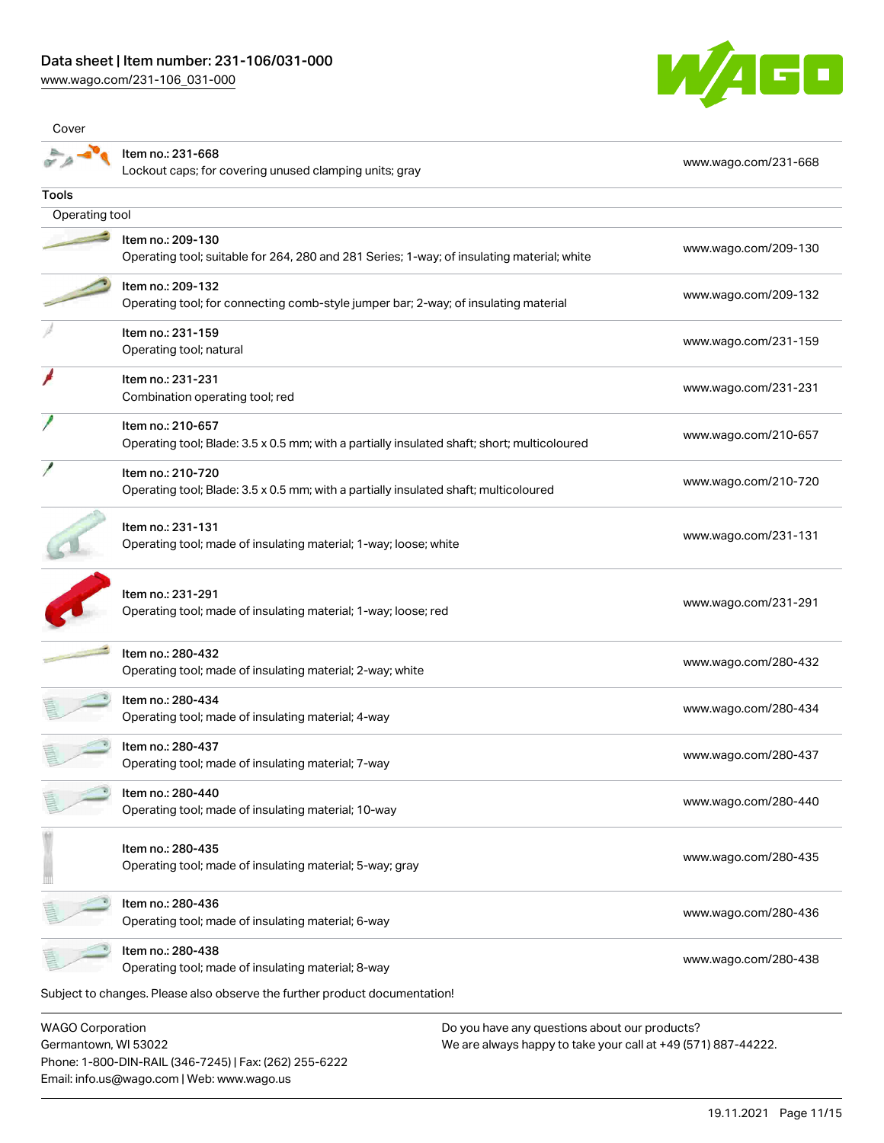Email: info.us@wago.com | Web: www.wago.us

[www.wago.com/231-106\\_031-000](http://www.wago.com/231-106_031-000)



| Cover                                           |                                                                                                                  |                                                                                                                |                      |
|-------------------------------------------------|------------------------------------------------------------------------------------------------------------------|----------------------------------------------------------------------------------------------------------------|----------------------|
|                                                 | Item no.: 231-668<br>Lockout caps; for covering unused clamping units; gray                                      |                                                                                                                | www.wago.com/231-668 |
| Tools                                           |                                                                                                                  |                                                                                                                |                      |
| Operating tool                                  |                                                                                                                  |                                                                                                                |                      |
|                                                 | Item no.: 209-130<br>Operating tool; suitable for 264, 280 and 281 Series; 1-way; of insulating material; white  |                                                                                                                | www.wago.com/209-130 |
|                                                 | Item no.: 209-132<br>Operating tool; for connecting comb-style jumper bar; 2-way; of insulating material         |                                                                                                                | www.wago.com/209-132 |
|                                                 | Item no.: 231-159<br>Operating tool; natural                                                                     |                                                                                                                | www.wago.com/231-159 |
|                                                 | Item no.: 231-231<br>Combination operating tool; red                                                             |                                                                                                                | www.wago.com/231-231 |
|                                                 | Item no.: 210-657<br>Operating tool; Blade: 3.5 x 0.5 mm; with a partially insulated shaft; short; multicoloured |                                                                                                                | www.wago.com/210-657 |
|                                                 | Item no.: 210-720<br>Operating tool; Blade: 3.5 x 0.5 mm; with a partially insulated shaft; multicoloured        |                                                                                                                | www.wago.com/210-720 |
|                                                 | Item no.: 231-131<br>Operating tool; made of insulating material; 1-way; loose; white                            |                                                                                                                | www.wago.com/231-131 |
|                                                 | Item no.: 231-291<br>Operating tool; made of insulating material; 1-way; loose; red                              |                                                                                                                | www.wago.com/231-291 |
|                                                 | Item no.: 280-432<br>Operating tool; made of insulating material; 2-way; white                                   |                                                                                                                | www.wago.com/280-432 |
|                                                 | Item no.: 280-434<br>Operating tool; made of insulating material; 4-way                                          |                                                                                                                | www.wago.com/280-434 |
|                                                 | Item no.: 280-437<br>Operating tool; made of insulating material; 7-way                                          |                                                                                                                | www.wago.com/280-437 |
|                                                 | Item no.: 280-440<br>Operating tool; made of insulating material; 10-way                                         |                                                                                                                | www.wago.com/280-440 |
|                                                 | Item no.: 280-435<br>Operating tool; made of insulating material; 5-way; gray                                    |                                                                                                                | www.wago.com/280-435 |
|                                                 | Item no.: 280-436<br>Operating tool; made of insulating material; 6-way                                          |                                                                                                                | www.wago.com/280-436 |
|                                                 | Item no.: 280-438<br>Operating tool; made of insulating material; 8-way                                          |                                                                                                                | www.wago.com/280-438 |
|                                                 | Subject to changes. Please also observe the further product documentation!                                       |                                                                                                                |                      |
| <b>WAGO Corporation</b><br>Germantown, WI 53022 | Phone: 1-800-DIN-RAIL (346-7245)   Fax: (262) 255-6222                                                           | Do you have any questions about our products?<br>We are always happy to take your call at +49 (571) 887-44222. |                      |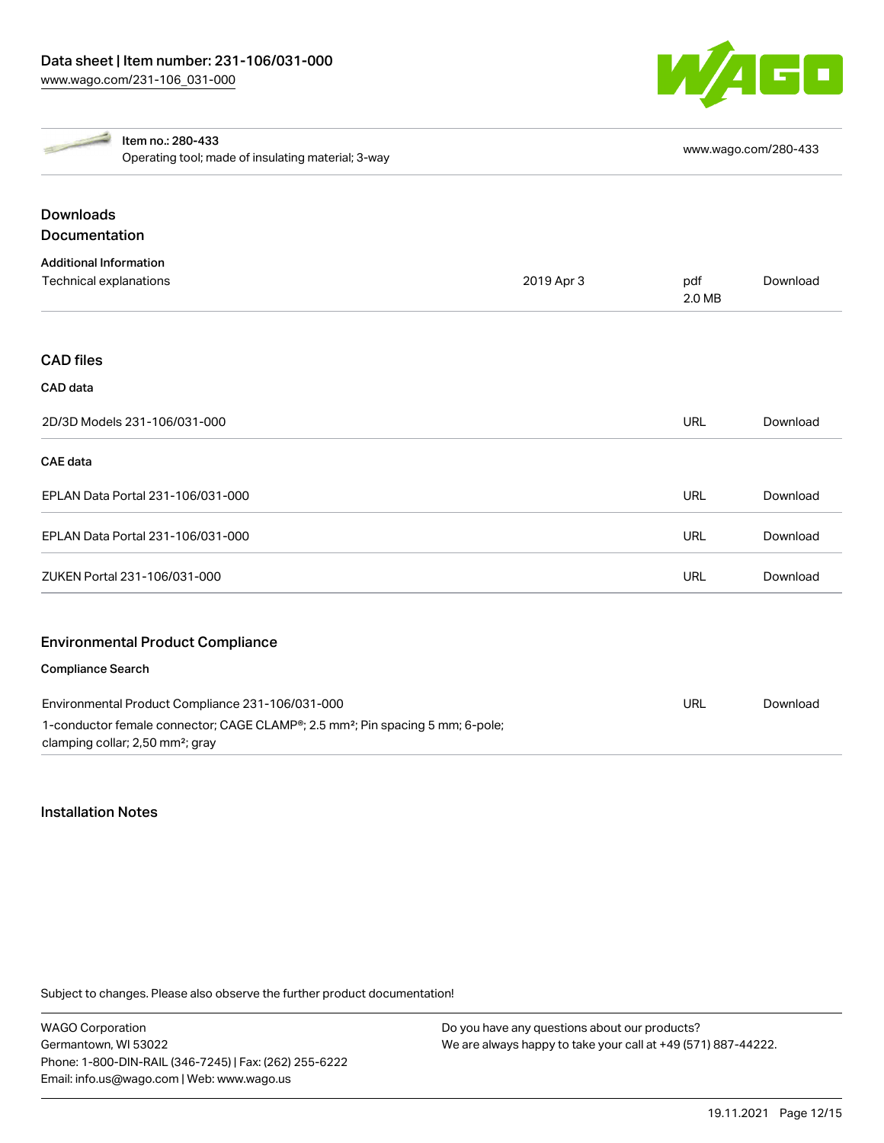

| $\frac{1}{2} \left( \frac{1}{2} \right)^{2} \left( \frac{1}{2} \right)^{2} \left( \frac{1}{2} \right)^{2} \left( \frac{1}{2} \right)^{2} \left( \frac{1}{2} \right)^{2} \left( \frac{1}{2} \right)^{2} \left( \frac{1}{2} \right)^{2} \left( \frac{1}{2} \right)^{2} \left( \frac{1}{2} \right)^{2} \left( \frac{1}{2} \right)^{2} \left( \frac{1}{2} \right)^{2} \left( \frac{1}{2} \right)^{2} \left( \frac{1}{2} \right)^{2} \left( \frac$ | Item no.: 280-433                                                                                                                          |            |               | www.wago.com/280-433 |
|-----------------------------------------------------------------------------------------------------------------------------------------------------------------------------------------------------------------------------------------------------------------------------------------------------------------------------------------------------------------------------------------------------------------------------------------------|--------------------------------------------------------------------------------------------------------------------------------------------|------------|---------------|----------------------|
|                                                                                                                                                                                                                                                                                                                                                                                                                                               | Operating tool; made of insulating material; 3-way                                                                                         |            |               |                      |
| <b>Downloads</b>                                                                                                                                                                                                                                                                                                                                                                                                                              |                                                                                                                                            |            |               |                      |
| Documentation                                                                                                                                                                                                                                                                                                                                                                                                                                 |                                                                                                                                            |            |               |                      |
| <b>Additional Information</b>                                                                                                                                                                                                                                                                                                                                                                                                                 |                                                                                                                                            |            |               |                      |
| Technical explanations                                                                                                                                                                                                                                                                                                                                                                                                                        |                                                                                                                                            | 2019 Apr 3 | pdf<br>2.0 MB | Download             |
|                                                                                                                                                                                                                                                                                                                                                                                                                                               |                                                                                                                                            |            |               |                      |
| <b>CAD files</b>                                                                                                                                                                                                                                                                                                                                                                                                                              |                                                                                                                                            |            |               |                      |
| CAD data                                                                                                                                                                                                                                                                                                                                                                                                                                      |                                                                                                                                            |            |               |                      |
|                                                                                                                                                                                                                                                                                                                                                                                                                                               | 2D/3D Models 231-106/031-000                                                                                                               |            | URL           | Download             |
| <b>CAE</b> data                                                                                                                                                                                                                                                                                                                                                                                                                               |                                                                                                                                            |            |               |                      |
|                                                                                                                                                                                                                                                                                                                                                                                                                                               | EPLAN Data Portal 231-106/031-000                                                                                                          |            | URL           | Download             |
|                                                                                                                                                                                                                                                                                                                                                                                                                                               | EPLAN Data Portal 231-106/031-000                                                                                                          |            | <b>URL</b>    | Download             |
|                                                                                                                                                                                                                                                                                                                                                                                                                                               | ZUKEN Portal 231-106/031-000                                                                                                               |            | URL           | Download             |
|                                                                                                                                                                                                                                                                                                                                                                                                                                               | <b>Environmental Product Compliance</b>                                                                                                    |            |               |                      |
| <b>Compliance Search</b>                                                                                                                                                                                                                                                                                                                                                                                                                      |                                                                                                                                            |            |               |                      |
|                                                                                                                                                                                                                                                                                                                                                                                                                                               | Environmental Product Compliance 231-106/031-000                                                                                           |            | URL           | Download             |
|                                                                                                                                                                                                                                                                                                                                                                                                                                               | 1-conductor female connector; CAGE CLAMP®; 2.5 mm <sup>2</sup> ; Pin spacing 5 mm; 6-pole;<br>clamping collar; 2,50 mm <sup>2</sup> ; gray |            |               |                      |

### Installation Notes

Subject to changes. Please also observe the further product documentation!

WAGO Corporation Germantown, WI 53022 Phone: 1-800-DIN-RAIL (346-7245) | Fax: (262) 255-6222 Email: info.us@wago.com | Web: www.wago.us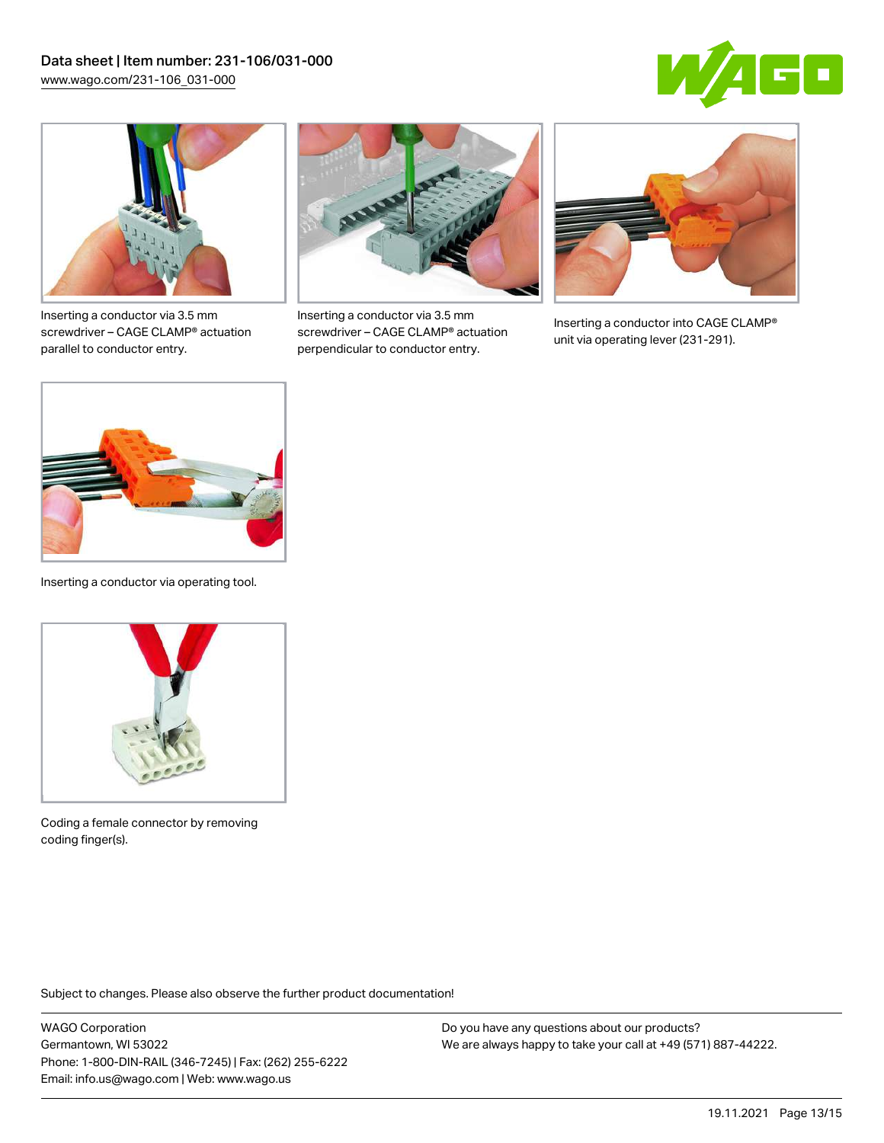



Inserting a conductor via 3.5 mm screwdriver – CAGE CLAMP® actuation parallel to conductor entry.



Inserting a conductor via 3.5 mm screwdriver – CAGE CLAMP® actuation perpendicular to conductor entry.



Inserting a conductor into CAGE CLAMP® unit via operating lever (231-291).



Inserting a conductor via operating tool.



Coding a female connector by removing coding finger(s).

Subject to changes. Please also observe the further product documentation!

WAGO Corporation Germantown, WI 53022 Phone: 1-800-DIN-RAIL (346-7245) | Fax: (262) 255-6222 Email: info.us@wago.com | Web: www.wago.us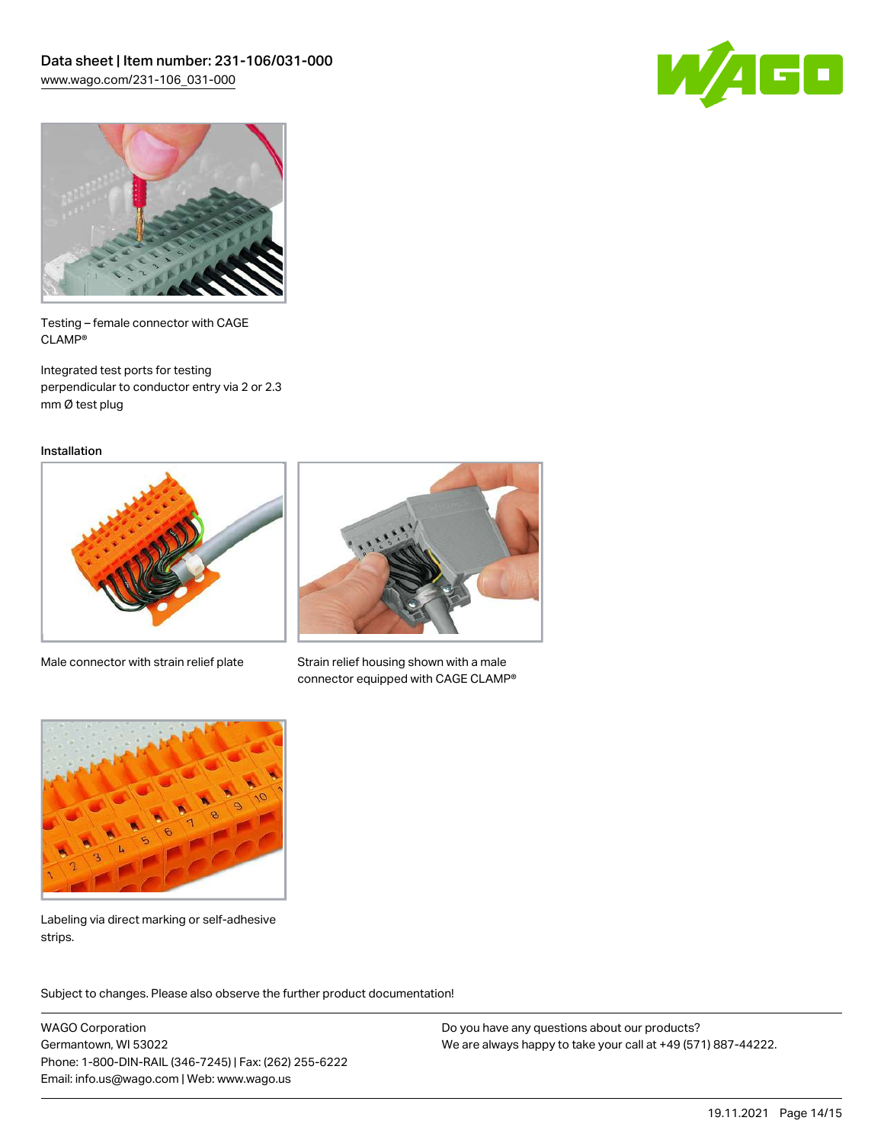



Testing – female connector with CAGE CLAMP®

Integrated test ports for testing perpendicular to conductor entry via 2 or 2.3 mm Ø test plug

Installation



Male connector with strain relief plate



Strain relief housing shown with a male connector equipped with CAGE CLAMP®



Labeling via direct marking or self-adhesive strips.

Subject to changes. Please also observe the further product documentation! Product family

WAGO Corporation Germantown, WI 53022 Phone: 1-800-DIN-RAIL (346-7245) | Fax: (262) 255-6222 Email: info.us@wago.com | Web: www.wago.us